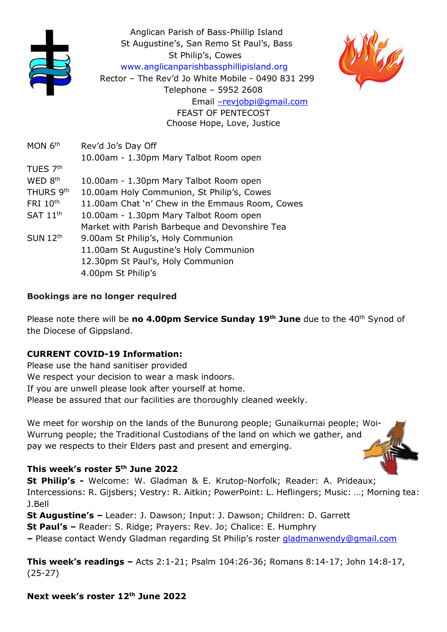

Anglican Parish of Bass-Phillip Island St Augustine's, San Remo St Paul's, Bass St Philip's, Cowes www.anglicanparishbassphillipisland.org Rector – The Rev'd Jo White Mobile - 0490 831 299 Telephone – 5952 2608 Email –revjobpi@gmail.com

FEAST OF PENTECOST Choose Hope, Love, Justice

MON 6<sup>th</sup> Rev'd Jo's Day Off 10.00am - 1.30pm Mary Talbot Room open TUES 7th WED 8<sup>th</sup> 10.00am - 1.30pm Mary Talbot Room open THURS 9th 10.00am Holy Communion, St Philip's, Cowes FRI 10<sup>th</sup> 11.00am Chat 'n' Chew in the Emmaus Room, Cowes  $SAT 11<sup>th</sup>$  10.00am - 1.30pm Mary Talbot Room open Market with Parish Barbeque and Devonshire Tea SUN 12<sup>th</sup> 9.00am St Philip's, Holy Communion 11.00am St Augustine's Holy Communion 12.30pm St Paul's, Holy Communion 4.00pm St Philip's

## Bookings are no longer required

Please note there will be no 4.00pm Service Sunday 19<sup>th</sup> June due to the 40<sup>th</sup> Synod of the Diocese of Gippsland.

## CURRENT COVID-19 Information:

Please use the hand sanitiser provided We respect your decision to wear a mask indoors. If you are unwell please look after yourself at home. Please be assured that our facilities are thoroughly cleaned weekly.

We meet for worship on the lands of the Bunurong people; Gunaikurnai people; Woi-Wurrung people; the Traditional Custodians of the land on which we gather, and pay we respects to their Elders past and present and emerging.

## This week's roster 5<sup>th</sup> June 2022

St Philip's - Welcome: W. Gladman & E. Krutop-Norfolk; Reader: A. Prideaux; Intercessions: R. Gijsbers; Vestry: R. Aitkin; PowerPoint: L. Heflingers; Music: …; Morning tea: J.Bell

St Augustine's – Leader: J. Dawson; Input: J. Dawson; Children: D. Garrett St Paul's – Reader: S. Ridge; Prayers: Rev. Jo; Chalice: E. Humphry – Please contact Wendy Gladman regarding St Philip's roster gladmanwendy@gmail.com

This week's readings – Acts 2:1-21; Psalm 104:26-36; Romans 8:14-17; John 14:8-17, (25-27)

Next week's roster 12<sup>th</sup> June 2022



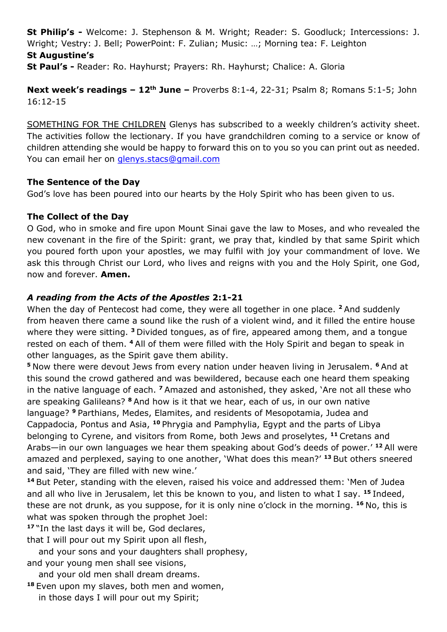St Philip's - Welcome: J. Stephenson & M. Wright; Reader: S. Goodluck; Intercessions: J. Wright; Vestry: J. Bell; PowerPoint: F. Zulian; Music: …; Morning tea: F. Leighton St Augustine's

St Paul's - Reader: Ro. Hayhurst; Prayers: Rh. Hayhurst; Chalice: A. Gloria

Next week's readings - 12<sup>th</sup> June - Proverbs 8:1-4, 22-31; Psalm 8; Romans 5:1-5; John 16:12-15

SOMETHING FOR THE CHILDREN Glenys has subscribed to a weekly children's activity sheet. The activities follow the lectionary. If you have grandchildren coming to a service or know of children attending she would be happy to forward this on to you so you can print out as needed. You can email her on glenys.stacs@gmail.com

#### The Sentence of the Day

God's love has been poured into our hearts by the Holy Spirit who has been given to us.

## The Collect of the Day

O God, who in smoke and fire upon Mount Sinai gave the law to Moses, and who revealed the new covenant in the fire of the Spirit: grant, we pray that, kindled by that same Spirit which you poured forth upon your apostles, we may fulfil with joy your commandment of love. We ask this through Christ our Lord, who lives and reigns with you and the Holy Spirit, one God, now and forever. Amen.

## A reading from the Acts of the Apostles 2:1-21

When the day of Pentecost had come, they were all together in one place. <sup>2</sup> And suddenly from heaven there came a sound like the rush of a violent wind, and it filled the entire house where they were sitting. <sup>3</sup> Divided tongues, as of fire, appeared among them, and a tongue rested on each of them. <sup>4</sup>All of them were filled with the Holy Spirit and began to speak in other languages, as the Spirit gave them ability.

<sup>5</sup> Now there were devout Jews from every nation under heaven living in Jerusalem. <sup>6</sup> And at this sound the crowd gathered and was bewildered, because each one heard them speaking in the native language of each.  $<sup>7</sup>$  Amazed and astonished, they asked, 'Are not all these who</sup> are speaking Galileans? <sup>8</sup> And how is it that we hear, each of us, in our own native language? <sup>9</sup> Parthians, Medes, Elamites, and residents of Mesopotamia, Judea and Cappadocia, Pontus and Asia, <sup>10</sup> Phrygia and Pamphylia, Egypt and the parts of Libya belonging to Cyrene, and visitors from Rome, both Jews and proselytes, <sup>11</sup> Cretans and Arabs—in our own languages we hear them speaking about God's deeds of power.<sup>' 12</sup> All were amazed and perplexed, saying to one another, 'What does this mean?' <sup>13</sup> But others sneered and said, 'They are filled with new wine.'

<sup>14</sup> But Peter, standing with the eleven, raised his voice and addressed them: 'Men of Judea and all who live in Jerusalem, let this be known to you, and listen to what I say.  $15$  Indeed, these are not drunk, as you suppose, for it is only nine o'clock in the morning.  $16$  No, this is what was spoken through the prophet Joel:

<sup>17</sup> "In the last days it will be, God declares,

that I will pour out my Spirit upon all flesh, and your sons and your daughters shall prophesy,

and your young men shall see visions,

and your old men shall dream dreams.

<sup>18</sup> Even upon my slaves, both men and women,

in those days I will pour out my Spirit;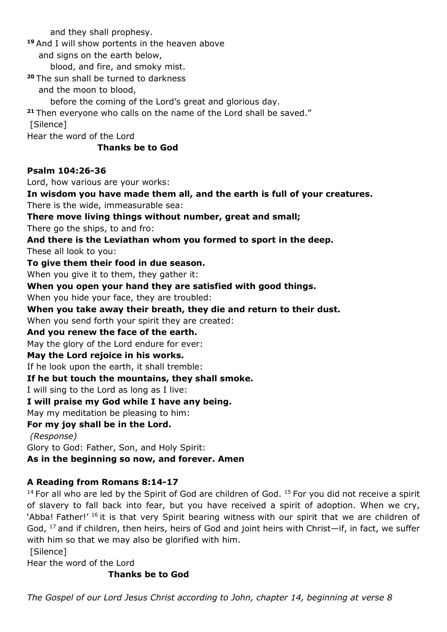and they shall prophesy.

<sup>19</sup> And I will show portents in the heaven above

and signs on the earth below,

blood, and fire, and smoky mist.

<sup>20</sup> The sun shall be turned to darkness

and the moon to blood,

before the coming of the Lord's great and glorious day.

<sup>21</sup> Then everyone who calls on the name of the Lord shall be saved."

[Silence]

Hear the word of the Lord

## Thanks be to God

#### Psalm 104:26-36

Lord, how various are your works: In wisdom you have made them all, and the earth is full of your creatures. There is the wide, immeasurable sea: There move living things without number, great and small; There go the ships, to and fro: And there is the Leviathan whom you formed to sport in the deep. These all look to you: To give them their food in due season. When you give it to them, they gather it: When you open your hand they are satisfied with good things. When you hide your face, they are troubled: When you take away their breath, they die and return to their dust. When you send forth your spirit they are created: And you renew the face of the earth. May the glory of the Lord endure for ever: May the Lord rejoice in his works. If he look upon the earth, it shall tremble: If he but touch the mountains, they shall smoke. I will sing to the Lord as long as I live: I will praise my God while I have any being. May my meditation be pleasing to him: For my joy shall be in the Lord. (Response) Glory to God: Father, Son, and Holy Spirit: As in the beginning so now, and forever. Amen

# A Reading from Romans 8:14-17

 $14$  For all who are led by the Spirit of God are children of God.  $15$  For you did not receive a spirit of slavery to fall back into fear, but you have received a spirit of adoption. When we cry, 'Abba! Father!' <sup>16</sup> it is that very Spirit bearing witness with our spirit that we are children of God,  $^{17}$  and if children, then heirs, heirs of God and joint heirs with Christ—if, in fact, we suffer with him so that we may also be glorified with him.

[Silence]

Hear the word of the Lord

## Thanks be to God

The Gospel of our Lord Jesus Christ according to John, chapter 14, beginning at verse 8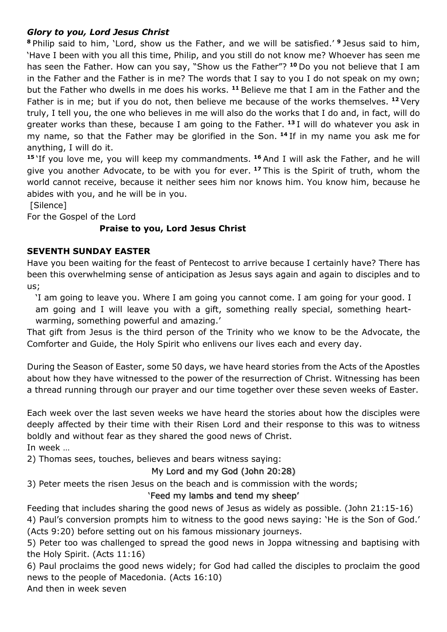## Glory to you, Lord Jesus Christ

<sup>8</sup> Philip said to him, 'Lord, show us the Father, and we will be satisfied.' <sup>9</sup> Jesus said to him, 'Have I been with you all this time, Philip, and you still do not know me? Whoever has seen me has seen the Father. How can you say, "Show us the Father"? <sup>10</sup> Do you not believe that I am in the Father and the Father is in me? The words that I say to you I do not speak on my own; but the Father who dwells in me does his works. <sup>11</sup> Believe me that I am in the Father and the Father is in me; but if you do not, then believe me because of the works themselves. <sup>12</sup> Very truly, I tell you, the one who believes in me will also do the works that I do and, in fact, will do greater works than these, because I am going to the Father.  $13$  I will do whatever you ask in my name, so that the Father may be glorified in the Son. <sup>14</sup> If in my name you ask me for anything, I will do it.

<sup>15</sup>'If you love me, you will keep my commandments. <sup>16</sup> And I will ask the Father, and he will give you another Advocate, to be with you for ever. <sup>17</sup> This is the Spirit of truth, whom the world cannot receive, because it neither sees him nor knows him. You know him, because he abides with you, and he will be in you.

[Silence]

For the Gospel of the Lord

## Praise to you, Lord Jesus Christ

#### SEVENTH SUNDAY EASTER

Have you been waiting for the feast of Pentecost to arrive because I certainly have? There has been this overwhelming sense of anticipation as Jesus says again and again to disciples and to us;

'I am going to leave you. Where I am going you cannot come. I am going for your good. I am going and I will leave you with a gift, something really special, something heartwarming, something powerful and amazing.'

That gift from Jesus is the third person of the Trinity who we know to be the Advocate, the Comforter and Guide, the Holy Spirit who enlivens our lives each and every day.

During the Season of Easter, some 50 days, we have heard stories from the Acts of the Apostles about how they have witnessed to the power of the resurrection of Christ. Witnessing has been a thread running through our prayer and our time together over these seven weeks of Easter.

Each week over the last seven weeks we have heard the stories about how the disciples were deeply affected by their time with their Risen Lord and their response to this was to witness boldly and without fear as they shared the good news of Christ. In week …

2) Thomas sees, touches, believes and bears witness saying:

## My Lord and my God (John 20:28)

3) Peter meets the risen Jesus on the beach and is commission with the words;

## 'Feed my lambs and tend my sheep'

Feeding that includes sharing the good news of Jesus as widely as possible. (John 21:15-16) 4) Paul's conversion prompts him to witness to the good news saying: 'He is the Son of God.' (Acts 9:20) before setting out on his famous missionary journeys.

5) Peter too was challenged to spread the good news in Joppa witnessing and baptising with the Holy Spirit. (Acts 11:16)

6) Paul proclaims the good news widely; for God had called the disciples to proclaim the good news to the people of Macedonia. (Acts 16:10)

And then in week seven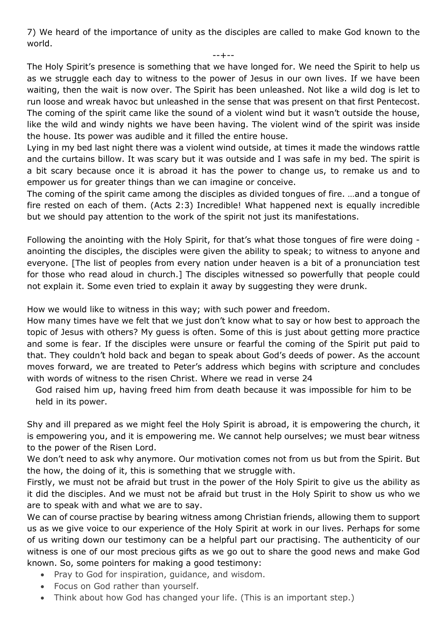7) We heard of the importance of unity as the disciples are called to make God known to the world.

--+--

The Holy Spirit's presence is something that we have longed for. We need the Spirit to help us as we struggle each day to witness to the power of Jesus in our own lives. If we have been waiting, then the wait is now over. The Spirit has been unleashed. Not like a wild dog is let to run loose and wreak havoc but unleashed in the sense that was present on that first Pentecost. The coming of the spirit came like the sound of a violent wind but it wasn't outside the house, like the wild and windy nights we have been having. The violent wind of the spirit was inside the house. Its power was audible and it filled the entire house.

Lying in my bed last night there was a violent wind outside, at times it made the windows rattle and the curtains billow. It was scary but it was outside and I was safe in my bed. The spirit is a bit scary because once it is abroad it has the power to change us, to remake us and to empower us for greater things than we can imagine or conceive.

The coming of the spirit came among the disciples as divided tongues of fire. …and a tongue of fire rested on each of them. (Acts 2:3) Incredible! What happened next is equally incredible but we should pay attention to the work of the spirit not just its manifestations.

Following the anointing with the Holy Spirit, for that's what those tongues of fire were doing anointing the disciples, the disciples were given the ability to speak; to witness to anyone and everyone. [The list of peoples from every nation under heaven is a bit of a pronunciation test for those who read aloud in church.] The disciples witnessed so powerfully that people could not explain it. Some even tried to explain it away by suggesting they were drunk.

How we would like to witness in this way; with such power and freedom.

How many times have we felt that we just don't know what to say or how best to approach the topic of Jesus with others? My guess is often. Some of this is just about getting more practice and some is fear. If the disciples were unsure or fearful the coming of the Spirit put paid to that. They couldn't hold back and began to speak about God's deeds of power. As the account moves forward, we are treated to Peter's address which begins with scripture and concludes with words of witness to the risen Christ. Where we read in verse 24

God raised him up, having freed him from death because it was impossible for him to be held in its power.

Shy and ill prepared as we might feel the Holy Spirit is abroad, it is empowering the church, it is empowering you, and it is empowering me. We cannot help ourselves; we must bear witness to the power of the Risen Lord.

We don't need to ask why anymore. Our motivation comes not from us but from the Spirit. But the how, the doing of it, this is something that we struggle with.

Firstly, we must not be afraid but trust in the power of the Holy Spirit to give us the ability as it did the disciples. And we must not be afraid but trust in the Holy Spirit to show us who we are to speak with and what we are to say.

We can of course practise by bearing witness among Christian friends, allowing them to support us as we give voice to our experience of the Holy Spirit at work in our lives. Perhaps for some of us writing down our testimony can be a helpful part our practising. The authenticity of our witness is one of our most precious gifts as we go out to share the good news and make God known. So, some pointers for making a good testimony:

- Pray to God for inspiration, guidance, and wisdom.
- Focus on God rather than yourself.
- Think about how God has changed your life. (This is an important step.)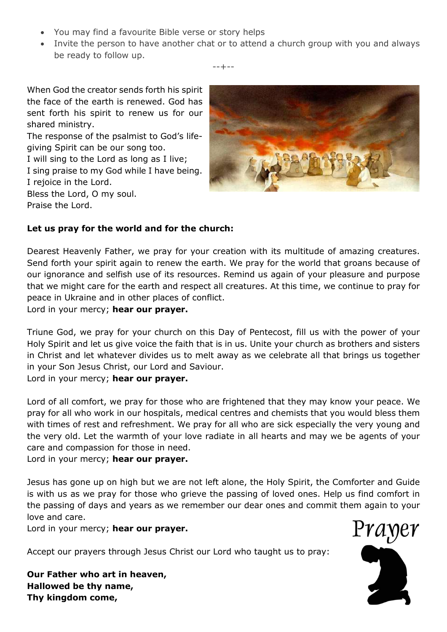- You may find a favourite Bible verse or story helps
- Invite the person to have another chat or to attend a church group with you and always be ready to follow up.

--+--

When God the creator sends forth his spirit the face of the earth is renewed. God has sent forth his spirit to renew us for our shared ministry. The response of the psalmist to God's lifegiving Spirit can be our song too. I will sing to the Lord as long as I live; I sing praise to my God while I have being. I rejoice in the Lord. Bless the Lord, O my soul. Praise the Lord.



## Let us pray for the world and for the church:

Dearest Heavenly Father, we pray for your creation with its multitude of amazing creatures. Send forth your spirit again to renew the earth. We pray for the world that groans because of our ignorance and selfish use of its resources. Remind us again of your pleasure and purpose that we might care for the earth and respect all creatures. At this time, we continue to pray for peace in Ukraine and in other places of conflict.

Lord in your mercy; hear our prayer.

Triune God, we pray for your church on this Day of Pentecost, fill us with the power of your Holy Spirit and let us give voice the faith that is in us. Unite your church as brothers and sisters in Christ and let whatever divides us to melt away as we celebrate all that brings us together in your Son Jesus Christ, our Lord and Saviour.

Lord in your mercy; hear our prayer.

Lord of all comfort, we pray for those who are frightened that they may know your peace. We pray for all who work in our hospitals, medical centres and chemists that you would bless them with times of rest and refreshment. We pray for all who are sick especially the very young and the very old. Let the warmth of your love radiate in all hearts and may we be agents of your care and compassion for those in need.

Lord in your mercy; hear our prayer.

Jesus has gone up on high but we are not left alone, the Holy Spirit, the Comforter and Guide is with us as we pray for those who grieve the passing of loved ones. Help us find comfort in the passing of days and years as we remember our dear ones and commit them again to your love and care.

Lord in your mercy; hear our prayer.

Accept our prayers through Jesus Christ our Lord who taught us to pray:

Our Father who art in heaven, Hallowed be thy name, Thy kingdom come,

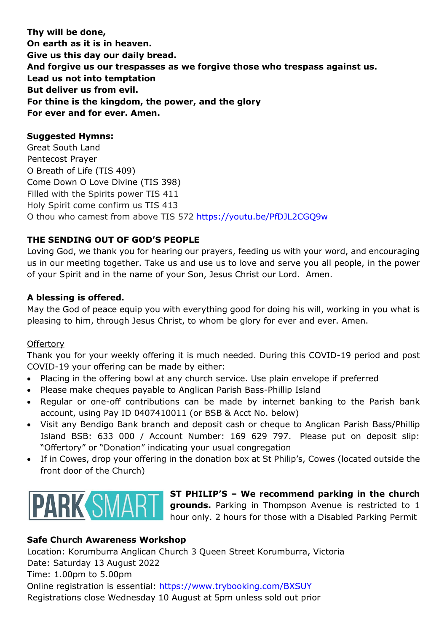Thy will be done, On earth as it is in heaven. Give us this day our daily bread. And forgive us our trespasses as we forgive those who trespass against us. Lead us not into temptation But deliver us from evil. For thine is the kingdom, the power, and the glory For ever and for ever. Amen.

## Suggested Hymns:

Great South Land Pentecost Prayer O Breath of Life (TIS 409) Come Down O Love Divine (TIS 398) Filled with the Spirits power TIS 411 Holy Spirit come confirm us TIS 413 O thou who camest from above TIS 572 https://youtu.be/PfDJL2CGQ9w

# THE SENDING OUT OF GOD'S PEOPLE

Loving God, we thank you for hearing our prayers, feeding us with your word, and encouraging us in our meeting together. Take us and use us to love and serve you all people, in the power of your Spirit and in the name of your Son, Jesus Christ our Lord. Amen.

## A blessing is offered.

May the God of peace equip you with everything good for doing his will, working in you what is pleasing to him, through Jesus Christ, to whom be glory for ever and ever. Amen.

## **Offertory**

Thank you for your weekly offering it is much needed. During this COVID-19 period and post COVID-19 your offering can be made by either:

- Placing in the offering bowl at any church service. Use plain envelope if preferred
- Please make cheques payable to Anglican Parish Bass-Phillip Island
- Regular or one-off contributions can be made by internet banking to the Parish bank account, using Pay ID 0407410011 (or BSB & Acct No. below)
- Visit any Bendigo Bank branch and deposit cash or cheque to Anglican Parish Bass/Phillip Island BSB: 633 000 / Account Number: 169 629 797. Please put on deposit slip: "Offertory" or "Donation" indicating your usual congregation
- If in Cowes, drop your offering in the donation box at St Philip's, Cowes (located outside the front door of the Church)



ST PHILIP'S – We recommend parking in the church **grounds.** Parking in Thompson Avenue is restricted to 1 hour only. 2 hours for those with a Disabled Parking Permit

## Safe Church Awareness Workshop

Location: Korumburra Anglican Church 3 Queen Street Korumburra, Victoria Date: Saturday 13 August 2022 Time: 1.00pm to 5.00pm Online registration is essential: https://www.trybooking.com/BXSUY Registrations close Wednesday 10 August at 5pm unless sold out prior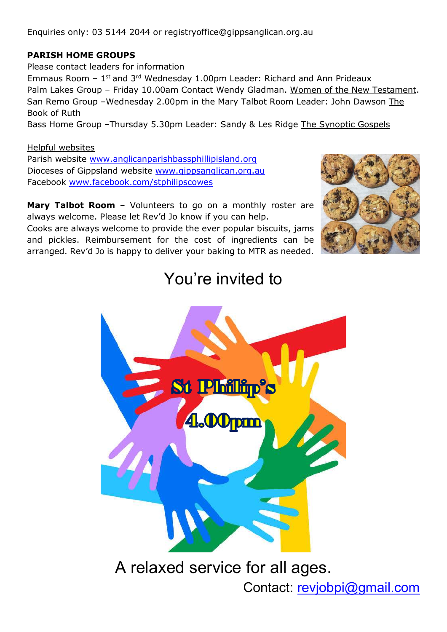Enquiries only: 03 5144 2044 or registryoffice@gippsanglican.org.au

# PARISH HOME GROUPS

Please contact leaders for information Emmaus Room  $-1$ <sup>st</sup> and 3<sup>rd</sup> Wednesday 1.00pm Leader: Richard and Ann Prideaux Palm Lakes Group - Friday 10.00am Contact Wendy Gladman. Women of the New Testament. San Remo Group –Wednesday 2.00pm in the Mary Talbot Room Leader: John Dawson The Book of Ruth Bass Home Group –Thursday 5.30pm Leader: Sandy & Les Ridge The Synoptic Gospels

## Helpful websites

Parish website www.anglicanparishbassphillipisland.org Dioceses of Gippsland website www.gippsanglican.org.au Facebook www.facebook.com/stphilipscowes

Mary Talbot Room - Volunteers to go on a monthly roster are always welcome. Please let Rev'd Jo know if you can help.

Cooks are always welcome to provide the ever popular biscuits, jams and pickles. Reimbursement for the cost of ingredients can be arranged. Rev'd Jo is happy to deliver your baking to MTR as needed.



# You're invited to



A relaxed service for all ages.